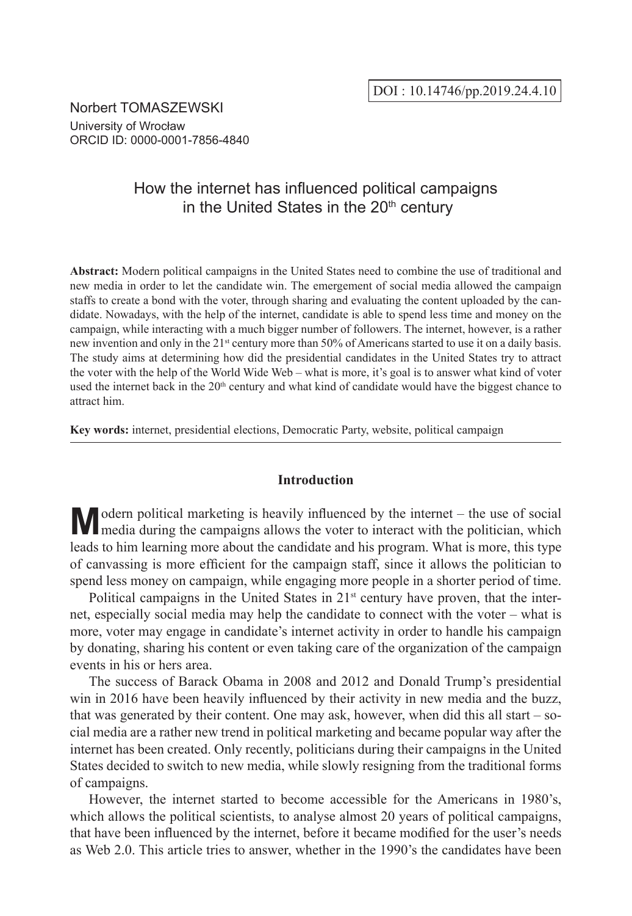Norbert TOMASZEWSKI University of Wrocław ORCID ID: 0000-0001-7856-4840

# How the internet has influenced political campaigns in the United States in the 20<sup>th</sup> century

**Abstract:** Modern political campaigns in the United States need to combine the use of traditional and new media in order to let the candidate win. The emergement of social media allowed the campaign staffs to create a bond with the voter, through sharing and evaluating the content uploaded by the candidate. Nowadays, with the help of the internet, candidate is able to spend less time and money on the campaign, while interacting with a much bigger number of followers. The internet, however, is a rather new invention and only in the 21<sup>st</sup> century more than 50% of Americans started to use it on a daily basis. The study aims at determining how did the presidential candidates in the United States try to attract the voter with the help of the World Wide Web – what is more, it's goal is to answer what kind of voter used the internet back in the  $20<sup>th</sup>$  century and what kind of candidate would have the biggest chance to attract him.

**Key words:** internet, presidential elections, Democratic Party, website, political campaign

# **Introduction**

**M**odern political marketing is heavily influenced by the internet – the use of social media during the campaigns allows the voter to interact with the politician, which leads to him learning more about the candidate and his program. What is more, this type of canvassing is more efficient for the campaign staff, since it allows the politician to spend less money on campaign, while engaging more people in a shorter period of time.

Political campaigns in the United States in 21<sup>st</sup> century have proven, that the internet, especially social media may help the candidate to connect with the voter – what is more, voter may engage in candidate's internet activity in order to handle his campaign by donating, sharing his content or even taking care of the organization of the campaign events in his or hers area.

The success of Barack Obama in 2008 and 2012 and Donald Trump's presidential win in 2016 have been heavily influenced by their activity in new media and the buzz, that was generated by their content. One may ask, however, when did this all start – social media are a rather new trend in political marketing and became popular way after the internet has been created. Only recently, politicians during their campaigns in the United States decided to switch to new media, while slowly resigning from the traditional forms of campaigns.

However, the internet started to become accessible for the Americans in 1980's, which allows the political scientists, to analyse almost 20 years of political campaigns, that have been influenced by the internet, before it became modified for the user's needs as Web 2.0. This article tries to answer, whether in the 1990's the candidates have been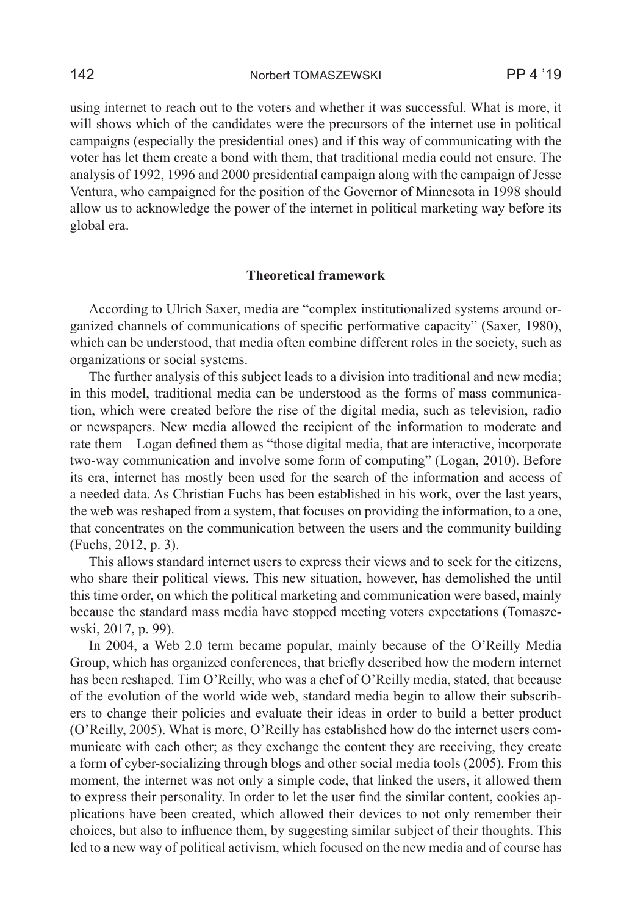using internet to reach out to the voters and whether it was successful. What is more, it will shows which of the candidates were the precursors of the internet use in political campaigns (especially the presidential ones) and if this way of communicating with the voter has let them create a bond with them, that traditional media could not ensure. The analysis of 1992, 1996 and 2000 presidential campaign along with the campaign of Jesse Ventura, who campaigned for the position of the Governor of Minnesota in 1998 should allow us to acknowledge the power of the internet in political marketing way before its global era.

# **Theoretical framework**

According to Ulrich Saxer, media are "complex institutionalized systems around organized channels of communications of specific performative capacity" (Saxer, 1980), which can be understood, that media often combine different roles in the society, such as organizations or social systems.

The further analysis of this subject leads to a division into traditional and new media; in this model, traditional media can be understood as the forms of mass communication, which were created before the rise of the digital media, such as television, radio or newspapers. New media allowed the recipient of the information to moderate and rate them – Logan defined them as "those digital media, that are interactive, incorporate two-way communication and involve some form of computing" (Logan, 2010). Before its era, internet has mostly been used for the search of the information and access of a needed data. As Christian Fuchs has been established in his work, over the last years, the web was reshaped from a system, that focuses on providing the information, to a one, that concentrates on the communication between the users and the community building (Fuchs, 2012, p. 3).

This allows standard internet users to express their views and to seek for the citizens, who share their political views. This new situation, however, has demolished the until this time order, on which the political marketing and communication were based, mainly because the standard mass media have stopped meeting voters expectations (Tomaszewski, 2017, p. 99).

In 2004, a Web 2.0 term became popular, mainly because of the O'Reilly Media Group, which has organized conferences, that briefly described how the modern internet has been reshaped. Tim O'Reilly, who was a chef of O'Reilly media, stated, that because of the evolution of the world wide web, standard media begin to allow their subscribers to change their policies and evaluate their ideas in order to build a better product (O'Reilly, 2005). What is more, O'Reilly has established how do the internet users communicate with each other; as they exchange the content they are receiving, they create a form of cyber-socializing through blogs and other social media tools (2005). From this moment, the internet was not only a simple code, that linked the users, it allowed them to express their personality. In order to let the user find the similar content, cookies applications have been created, which allowed their devices to not only remember their choices, but also to influence them, by suggesting similar subject of their thoughts. This led to a new way of political activism, which focused on the new media and of course has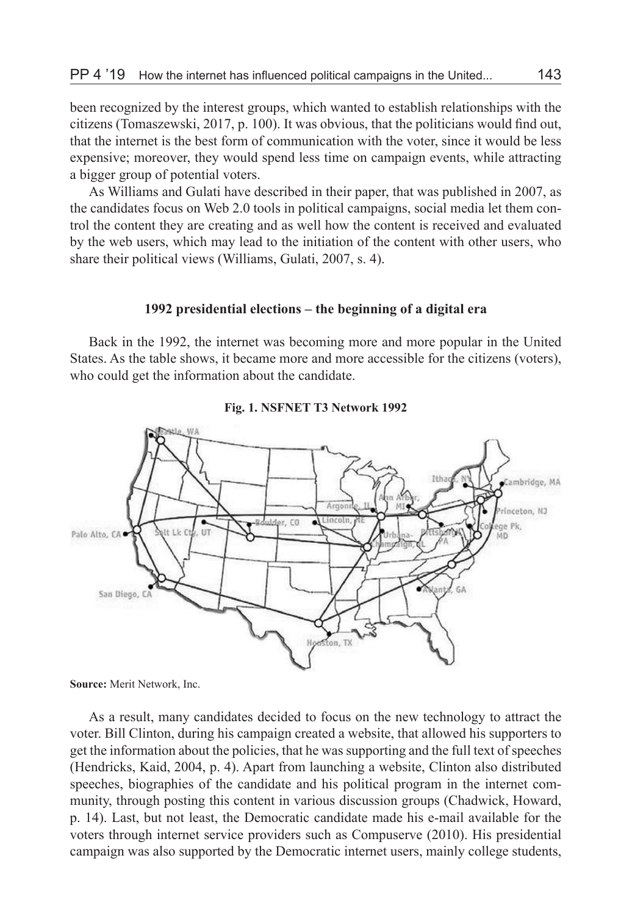been recognized by the interest groups, which wanted to establish relationships with the citizens (Tomaszewski, 2017, p. 100). It was obvious, that the politicians would find out, that the internet is the best form of communication with the voter, since it would be less expensive; moreover, they would spend less time on campaign events, while attracting a bigger group of potential voters.

As Williams and Gulati have described in their paper, that was published in 2007, as the candidates focus on Web 2.0 tools in political campaigns, social media let them control the content they are creating and as well how the content is received and evaluated by the web users, which may lead to the initiation of the content with other users, who share their political views (Williams, Gulati, 2007, s. 4).

### **1992 presidential elections – the beginning of a digital era**

Back in the 1992, the internet was becoming more and more popular in the United States. As the table shows, it became more and more accessible for the citizens (voters), who could get the information about the candidate.





**Source:** Merit Network, Inc.

As a result, many candidates decided to focus on the new technology to attract the voter. Bill Clinton, during his campaign created a website, that allowed his supporters to get the information about the policies, that he was supporting and the full text of speeches (Hendricks, Kaid, 2004, p. 4). Apart from launching a website, Clinton also distributed speeches, biographies of the candidate and his political program in the internet community, through posting this content in various discussion groups (Chadwick, Howard, p. 14). Last, but not least, the Democratic candidate made his e-mail available for the voters through internet service providers such as Compuserve (2010). His presidential campaign was also supported by the Democratic internet users, mainly college students,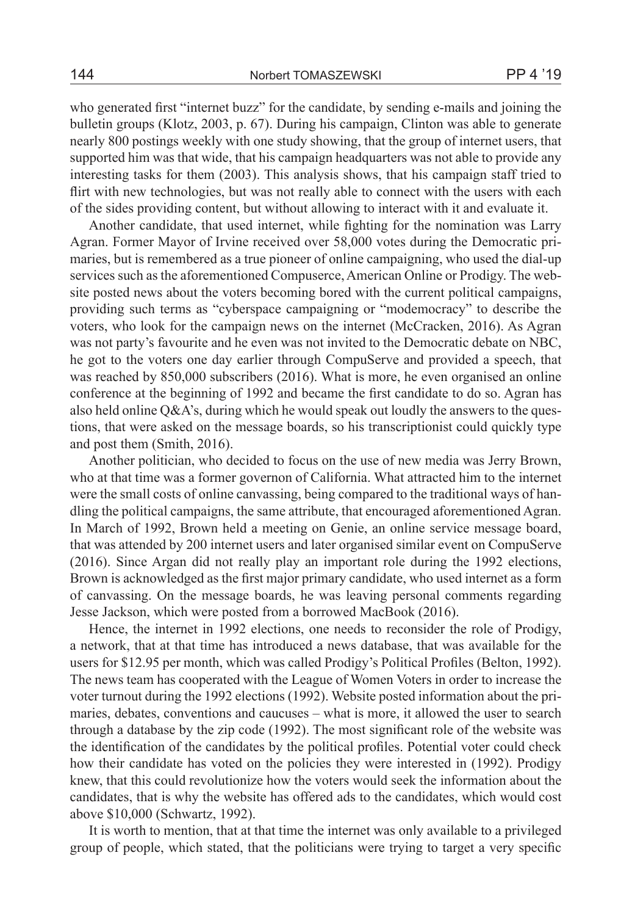who generated first "internet buzz" for the candidate, by sending e-mails and joining the bulletin groups (Klotz, 2003, p. 67). During his campaign, Clinton was able to generate nearly 800 postings weekly with one study showing, that the group of internet users, that supported him was that wide, that his campaign headquarters was not able to provide any interesting tasks for them (2003). This analysis shows, that his campaign staff tried to flirt with new technologies, but was not really able to connect with the users with each of the sides providing content, but without allowing to interact with it and evaluate it.

Another candidate, that used internet, while fighting for the nomination was Larry Agran. Former Mayor of Irvine received over 58,000 votes during the Democratic primaries, but is remembered as a true pioneer of online campaigning, who used the dial-up services such as the aforementioned Compuserce, American Online or Prodigy. The website posted news about the voters becoming bored with the current political campaigns, providing such terms as "cyberspace campaigning or "modemocracy" to describe the voters, who look for the campaign news on the internet (McCracken, 2016). As Agran was not party's favourite and he even was not invited to the Democratic debate on NBC, he got to the voters one day earlier through CompuServe and provided a speech, that was reached by 850,000 subscribers (2016). What is more, he even organised an online conference at the beginning of 1992 and became the first candidate to do so. Agran has also held online  $Q\&A$ 's, during which he would speak out loudly the answers to the questions, that were asked on the message boards, so his transcriptionist could quickly type and post them (Smith, 2016).

Another politician, who decided to focus on the use of new media was Jerry Brown, who at that time was a former governon of California. What attracted him to the internet were the small costs of online canvassing, being compared to the traditional ways of handling the political campaigns, the same attribute, that encouraged aforementioned Agran. In March of 1992, Brown held a meeting on Genie, an online service message board, that was attended by 200 internet users and later organised similar event on CompuServe (2016). Since Argan did not really play an important role during the 1992 elections, Brown is acknowledged as the first major primary candidate, who used internet as a form of canvassing. On the message boards, he was leaving personal comments regarding Jesse Jackson, which were posted from a borrowed MacBook (2016).

Hence, the internet in 1992 elections, one needs to reconsider the role of Prodigy, a network, that at that time has introduced a news database, that was available for the users for \$12.95 per month, which was called Prodigy's Political Profiles (Belton, 1992). The news team has cooperated with the League of Women Voters in order to increase the voter turnout during the 1992 elections (1992). Website posted information about the primaries, debates, conventions and caucuses – what is more, it allowed the user to search through a database by the zip code (1992). The most significant role of the website was the identification of the candidates by the political profiles. Potential voter could check how their candidate has voted on the policies they were interested in (1992). Prodigy knew, that this could revolutionize how the voters would seek the information about the candidates, that is why the website has offered ads to the candidates, which would cost above \$10,000 (Schwartz, 1992).

It is worth to mention, that at that time the internet was only available to a privileged group of people, which stated, that the politicians were trying to target a very specific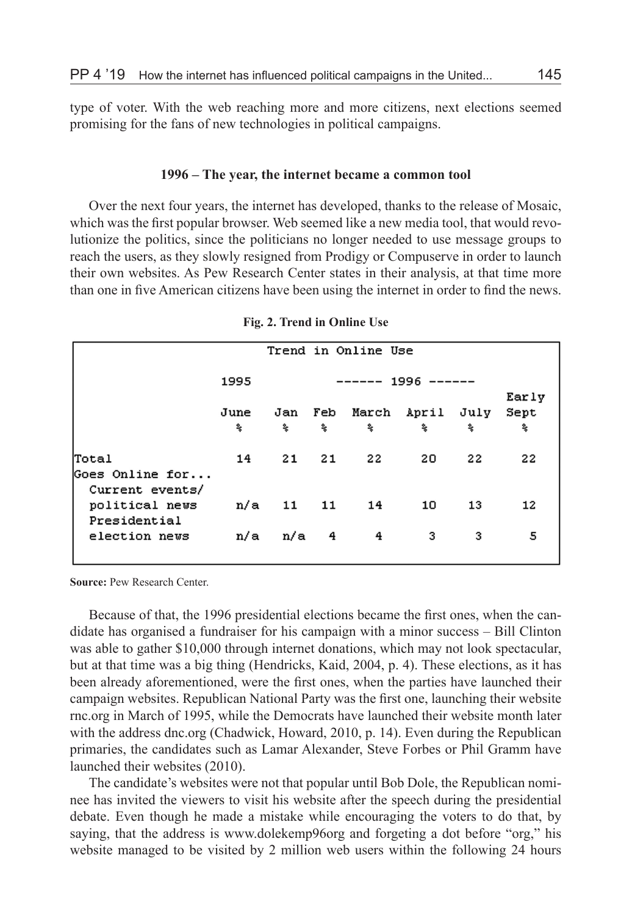type of voter. With the web reaching more and more citizens, next elections seemed promising for the fans of new technologies in political campaigns.

#### **1996 – The year, the internet became a common tool**

Over the next four years, the internet has developed, thanks to the release of Mosaic, which was the first popular browser. Web seemed like a new media tool, that would revolutionize the politics, since the politicians no longer needed to use message groups to reach the users, as they slowly resigned from Prodigy or Compuserve in order to launch their own websites. As Pew Research Center states in their analysis, at that time more than one in five American citizens have been using the internet in order to find the news.

|                                                   | Trend in Online Use |           |     |    |                  |    |       |  |
|---------------------------------------------------|---------------------|-----------|-----|----|------------------|----|-------|--|
|                                                   | 1995<br>------ 1996 |           |     |    |                  |    | Early |  |
|                                                   | June                | Jan       | Feb |    | March April July |    | Sept  |  |
|                                                   | 委                   | 委         | 委   | 委  | 委                | 委  | 委     |  |
| Total<br>Goes Online for                          | 14                  | 21        | -21 | 22 | 20               | 22 | 22    |  |
| Current events/<br>political news<br>Presidential |                     | n/a 11 11 |     | 14 | 10               | 13 | 12    |  |
| election news                                     | n/a                 | n/a       | 4   | 4  | 3                | з  | 5     |  |

**Fig. 2. Trend in Online Use**

**Source:** Pew Research Center.

Because of that, the 1996 presidential elections became the first ones, when the candidate has organised a fundraiser for his campaign with a minor success – Bill Clinton was able to gather \$10,000 through internet donations, which may not look spectacular, but at that time was a big thing (Hendricks, Kaid, 2004, p. 4). These elections, as it has been already aforementioned, were the first ones, when the parties have launched their campaign websites. Republican National Party was the first one, launching their website rnc.org in March of 1995, while the Democrats have launched their website month later with the address dnc.org (Chadwick, Howard, 2010, p. 14). Even during the Republican primaries, the candidates such as Lamar Alexander, Steve Forbes or Phil Gramm have launched their websites (2010).

The candidate's websites were not that popular until Bob Dole, the Republican nominee has invited the viewers to visit his website after the speech during the presidential debate. Even though he made a mistake while encouraging the voters to do that, by saying, that the address is www.dolekemp96org and forgeting a dot before "org," his website managed to be visited by 2 million web users within the following 24 hours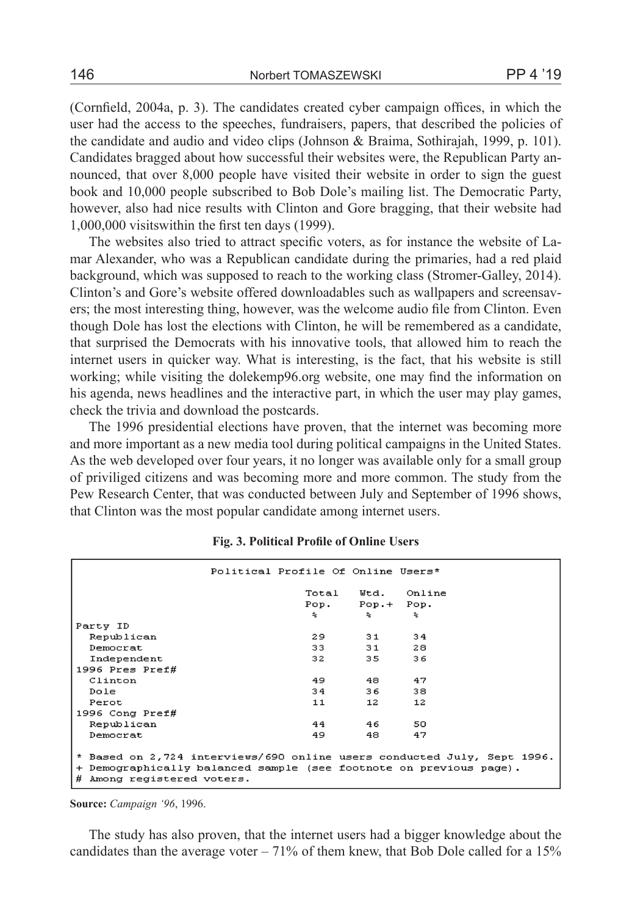(Cornfield, 2004a, p. 3). The candidates created cyber campaign offices, in which the user had the access to the speeches, fundraisers, papers, that described the policies of the candidate and audio and video clips (Johnson & Braima, Sothirajah, 1999, p. 101). Candidates bragged about how successful their websites were, the Republican Party announced, that over 8,000 people have visited their website in order to sign the guest book and 10,000 people subscribed to Bob Dole's mailing list. The Democratic Party, however, also had nice results with Clinton and Gore bragging, that their website had 1,000,000 visitswithin the first ten days (1999).

The websites also tried to attract specific voters, as for instance the website of Lamar Alexander, who was a Republican candidate during the primaries, had a red plaid background, which was supposed to reach to the working class (Stromer-Galley, 2014). Clinton's and Gore's website offered downloadables such as wallpapers and screensavers; the most interesting thing, however, was the welcome audio file from Clinton. Even though Dole has lost the elections with Clinton, he will be remembered as a candidate, that surprised the Democrats with his innovative tools, that allowed him to reach the internet users in quicker way. What is interesting, is the fact, that his website is still working; while visiting the dolekemp96.org website, one may find the information on his agenda, news headlines and the interactive part, in which the user may play games, check the trivia and download the postcards.

The 1996 presidential elections have proven, that the internet was becoming more and more important as a new media tool during political campaigns in the United States. As the web developed over four years, it no longer was available only for a small group of priviliged citizens and was becoming more and more common. The study from the Pew Research Center, that was conducted between July and September of 1996 shows, that Clinton was the most popular candidate among internet users.

|                                                                                                  | Political Profile Of Online Users* |                 |        |  |  |  |  |
|--------------------------------------------------------------------------------------------------|------------------------------------|-----------------|--------|--|--|--|--|
|                                                                                                  | Total                              | Wtd.            | Online |  |  |  |  |
|                                                                                                  | Pop.                               | $Pop.+$         | Pop.   |  |  |  |  |
|                                                                                                  | 冬                                  | 冬               | 冬      |  |  |  |  |
| Party ID                                                                                         |                                    |                 |        |  |  |  |  |
| Republican                                                                                       | 29                                 | 31              | 34     |  |  |  |  |
| Democrat                                                                                         | 33.                                | 31              | 28     |  |  |  |  |
| Independent                                                                                      | 32                                 | 35              | 36     |  |  |  |  |
| 1996 Pres Pref#                                                                                  |                                    |                 |        |  |  |  |  |
| Clinton                                                                                          | 49                                 | 48              | 47     |  |  |  |  |
| Dole                                                                                             | 34                                 | 36              | 38     |  |  |  |  |
| Perot                                                                                            | 11                                 | 12 <sup>7</sup> | 12     |  |  |  |  |
| 1996 Cong $Preff$                                                                                |                                    |                 |        |  |  |  |  |
| Republican                                                                                       | 44                                 | 46.             | 50     |  |  |  |  |
| Democrat                                                                                         | 49                                 | 48.             | 47     |  |  |  |  |
|                                                                                                  |                                    |                 |        |  |  |  |  |
| * Based on 2,724 interviews/690 online users conducted July, Sept 1996.                          |                                    |                 |        |  |  |  |  |
| + Demographically balanced sample (see footnote on previous page).<br># Among registered voters. |                                    |                 |        |  |  |  |  |
|                                                                                                  |                                    |                 |        |  |  |  |  |

#### **Fig. 3. Political Profile of Online Users**

**Source:** *Campaign '96*, 1996.

The study has also proven, that the internet users had a bigger knowledge about the candidates than the average voter  $-71\%$  of them knew, that Bob Dole called for a 15%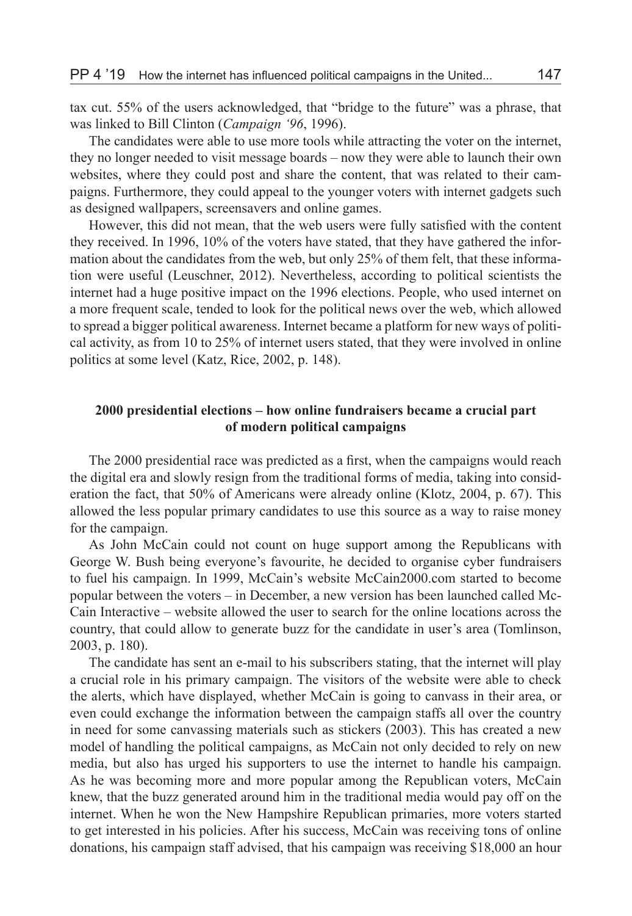tax cut. 55% of the users acknowledged, that "bridge to the future" was a phrase, that was linked to Bill Clinton (*Campaign '96*, 1996).

The candidates were able to use more tools while attracting the voter on the internet, they no longer needed to visit message boards – now they were able to launch their own websites, where they could post and share the content, that was related to their campaigns. Furthermore, they could appeal to the younger voters with internet gadgets such as designed wallpapers, screensavers and online games.

However, this did not mean, that the web users were fully satisfied with the content they received. In 1996, 10% of the voters have stated, that they have gathered the information about the candidates from the web, but only 25% of them felt, that these information were useful (Leuschner, 2012). Nevertheless, according to political scientists the internet had a huge positive impact on the 1996 elections. People, who used internet on a more frequent scale, tended to look for the political news over the web, which allowed to spread a bigger political awareness. Internet became a platform for new ways of political activity, as from 10 to 25% of internet users stated, that they were involved in online politics at some level (Katz, Rice, 2002, p. 148).

# **2000 presidential elections – how online fundraisers became a crucial part of modern political campaigns**

The 2000 presidential race was predicted as a first, when the campaigns would reach the digital era and slowly resign from the traditional forms of media, taking into consideration the fact, that 50% of Americans were already online (Klotz, 2004, p. 67). This allowed the less popular primary candidates to use this source as a way to raise money for the campaign.

As John McCain could not count on huge support among the Republicans with George W. Bush being everyone's favourite, he decided to organise cyber fundraisers to fuel his campaign. In 1999, McCain's website McCain2000.com started to become popular between the voters – in December, a new version has been launched called Mc-Cain Interactive – website allowed the user to search for the online locations across the country, that could allow to generate buzz for the candidate in user's area (Tomlinson, 2003, p. 180).

The candidate has sent an e-mail to his subscribers stating, that the internet will play a crucial role in his primary campaign. The visitors of the website were able to check the alerts, which have displayed, whether McCain is going to canvass in their area, or even could exchange the information between the campaign staffs all over the country in need for some canvassing materials such as stickers (2003). This has created a new model of handling the political campaigns, as McCain not only decided to rely on new media, but also has urged his supporters to use the internet to handle his campaign. As he was becoming more and more popular among the Republican voters, McCain knew, that the buzz generated around him in the traditional media would pay off on the internet. When he won the New Hampshire Republican primaries, more voters started to get interested in his policies. After his success, McCain was receiving tons of online donations, his campaign staff advised, that his campaign was receiving \$18,000 an hour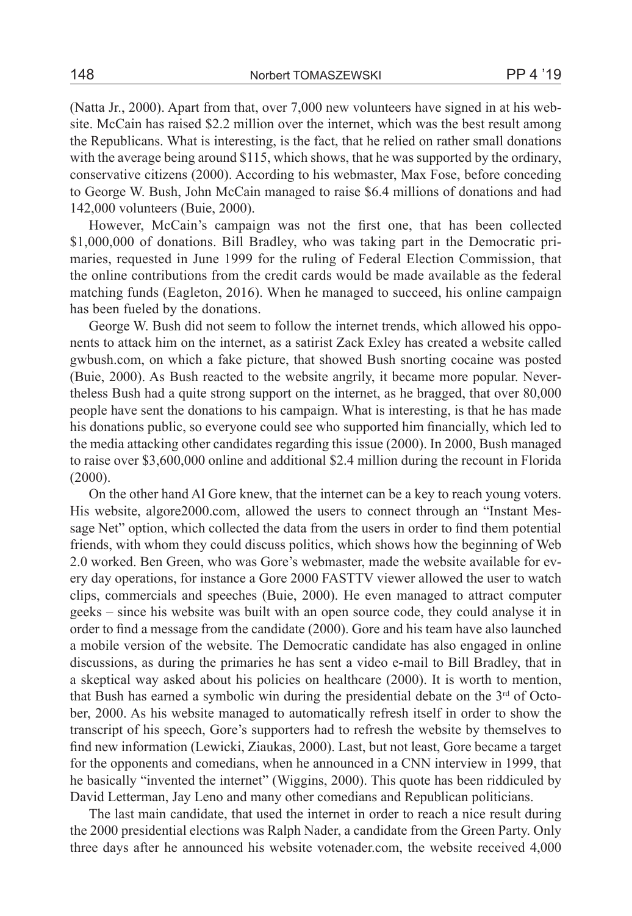(Natta Jr., 2000). Apart from that, over 7,000 new volunteers have signed in at his website. McCain has raised \$2.2 million over the internet, which was the best result among the Republicans. What is interesting, is the fact, that he relied on rather small donations with the average being around \$115, which shows, that he was supported by the ordinary, conservative citizens (2000). According to his webmaster, Max Fose, before conceding to George W. Bush, John McCain managed to raise \$6.4 millions of donations and had 142,000 volunteers (Buie, 2000).

However, McCain's campaign was not the first one, that has been collected \$1,000,000 of donations. Bill Bradley, who was taking part in the Democratic primaries, requested in June 1999 for the ruling of Federal Election Commission, that the online contributions from the credit cards would be made available as the federal matching funds (Eagleton, 2016). When he managed to succeed, his online campaign has been fueled by the donations.

George W. Bush did not seem to follow the internet trends, which allowed his opponents to attack him on the internet, as a satirist Zack Exley has created a website called gwbush.com, on which a fake picture, that showed Bush snorting cocaine was posted (Buie, 2000). As Bush reacted to the website angrily, it became more popular. Nevertheless Bush had a quite strong support on the internet, as he bragged, that over 80,000 people have sent the donations to his campaign. What is interesting, is that he has made his donations public, so everyone could see who supported him financially, which led to the media attacking other candidates regarding this issue (2000). In 2000, Bush managed to raise over \$3,600,000 online and additional \$2.4 million during the recount in Florida (2000).

On the other hand Al Gore knew, that the internet can be a key to reach young voters. His website, algore2000.com, allowed the users to connect through an "Instant Message Net" option, which collected the data from the users in order to find them potential friends, with whom they could discuss politics, which shows how the beginning of Web 2.0 worked. Ben Green, who was Gore's webmaster, made the website available for every day operations, for instance a Gore 2000 FASTTV viewer allowed the user to watch clips, commercials and speeches (Buie, 2000). He even managed to attract computer geeks – since his website was built with an open source code, they could analyse it in order to find a message from the candidate (2000). Gore and his team have also launched a mobile version of the website. The Democratic candidate has also engaged in online discussions, as during the primaries he has sent a video e-mail to Bill Bradley, that in a skeptical way asked about his policies on healthcare (2000). It is worth to mention, that Bush has earned a symbolic win during the presidential debate on the  $3<sup>rd</sup>$  of October, 2000. As his website managed to automatically refresh itself in order to show the transcript of his speech, Gore's supporters had to refresh the website by themselves to find new information (Lewicki, Ziaukas, 2000). Last, but not least, Gore became a target for the opponents and comedians, when he announced in a CNN interview in 1999, that he basically "invented the internet" (Wiggins, 2000). This quote has been riddiculed by David Letterman, Jay Leno and many other comedians and Republican politicians.

The last main candidate, that used the internet in order to reach a nice result during the 2000 presidential elections was Ralph Nader, a candidate from the Green Party. Only three days after he announced his website votenader.com, the website received 4,000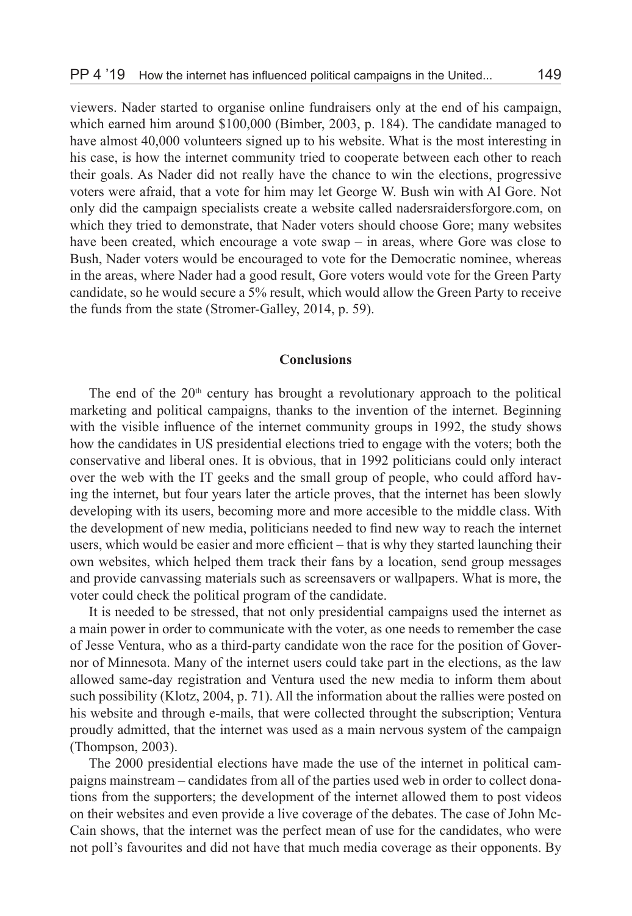viewers. Nader started to organise online fundraisers only at the end of his campaign, which earned him around \$100,000 (Bimber, 2003, p. 184). The candidate managed to have almost 40,000 volunteers signed up to his website. What is the most interesting in his case, is how the internet community tried to cooperate between each other to reach their goals. As Nader did not really have the chance to win the elections, progressive voters were afraid, that a vote for him may let George W. Bush win with Al Gore. Not only did the campaign specialists create a website called nadersraidersforgore.com, on which they tried to demonstrate, that Nader voters should choose Gore; many websites have been created, which encourage a vote swap – in areas, where Gore was close to Bush, Nader voters would be encouraged to vote for the Democratic nominee, whereas in the areas, where Nader had a good result, Gore voters would vote for the Green Party candidate, so he would secure a 5% result, which would allow the Green Party to receive the funds from the state (Stromer-Galley, 2014, p. 59).

# **Conclusions**

The end of the  $20<sup>th</sup>$  century has brought a revolutionary approach to the political marketing and political campaigns, thanks to the invention of the internet. Beginning with the visible influence of the internet community groups in 1992, the study shows how the candidates in US presidential elections tried to engage with the voters; both the conservative and liberal ones. It is obvious, that in 1992 politicians could only interact over the web with the IT geeks and the small group of people, who could afford having the internet, but four years later the article proves, that the internet has been slowly developing with its users, becoming more and more accesible to the middle class. With the development of new media, politicians needed to find new way to reach the internet users, which would be easier and more efficient – that is why they started launching their own websites, which helped them track their fans by a location, send group messages and provide canvassing materials such as screensavers or wallpapers. What is more, the voter could check the political program of the candidate.

It is needed to be stressed, that not only presidential campaigns used the internet as a main power in order to communicate with the voter, as one needs to remember the case of Jesse Ventura, who as a third-party candidate won the race for the position of Governor of Minnesota. Many of the internet users could take part in the elections, as the law allowed same-day registration and Ventura used the new media to inform them about such possibility (Klotz, 2004, p. 71). All the information about the rallies were posted on his website and through e-mails, that were collected throught the subscription; Ventura proudly admitted, that the internet was used as a main nervous system of the campaign (Thompson, 2003).

The 2000 presidential elections have made the use of the internet in political campaigns mainstream – candidates from all of the parties used web in order to collect donations from the supporters; the development of the internet allowed them to post videos on their websites and even provide a live coverage of the debates. The case of John Mc-Cain shows, that the internet was the perfect mean of use for the candidates, who were not poll's favourites and did not have that much media coverage as their opponents. By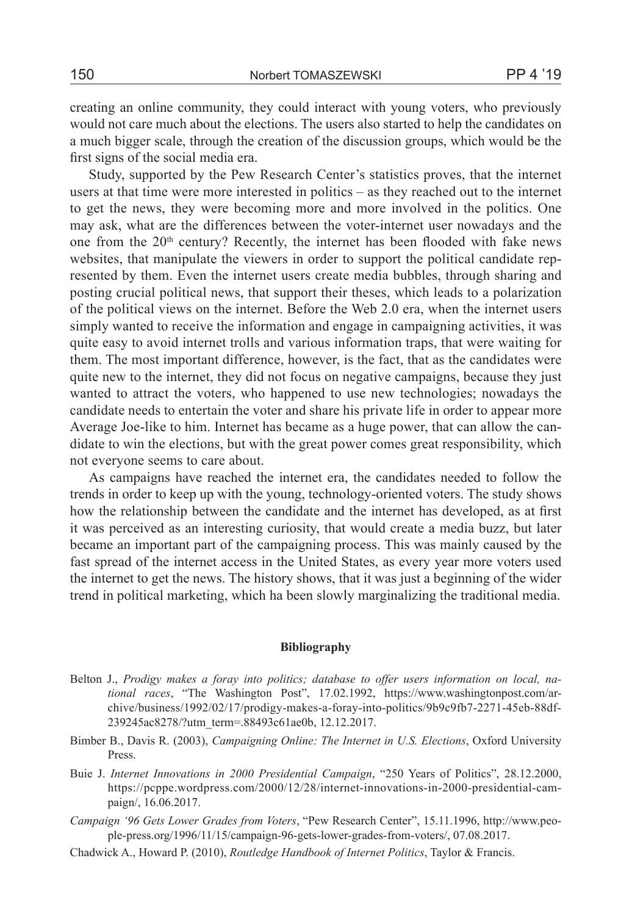creating an online community, they could interact with young voters, who previously would not care much about the elections. The users also started to help the candidates on a much bigger scale, through the creation of the discussion groups, which would be the first signs of the social media era.

Study, supported by the Pew Research Center's statistics proves, that the internet users at that time were more interested in politics – as they reached out to the internet to get the news, they were becoming more and more involved in the politics. One may ask, what are the differences between the voter-internet user nowadays and the one from the  $20<sup>th</sup>$  century? Recently, the internet has been flooded with fake news websites, that manipulate the viewers in order to support the political candidate represented by them. Even the internet users create media bubbles, through sharing and posting crucial political news, that support their theses, which leads to a polarization of the political views on the internet. Before the Web 2.0 era, when the internet users simply wanted to receive the information and engage in campaigning activities, it was quite easy to avoid internet trolls and various information traps, that were waiting for them. The most important difference, however, is the fact, that as the candidates were quite new to the internet, they did not focus on negative campaigns, because they just wanted to attract the voters, who happened to use new technologies; nowadays the candidate needs to entertain the voter and share his private life in order to appear more Average Joe-like to him. Internet has became as a huge power, that can allow the candidate to win the elections, but with the great power comes great responsibility, which not everyone seems to care about.

As campaigns have reached the internet era, the candidates needed to follow the trends in order to keep up with the young, technology-oriented voters. The study shows how the relationship between the candidate and the internet has developed, as at first it was perceived as an interesting curiosity, that would create a media buzz, but later became an important part of the campaigning process. This was mainly caused by the fast spread of the internet access in the United States, as every year more voters used the internet to get the news. The history shows, that it was just a beginning of the wider trend in political marketing, which ha been slowly marginalizing the traditional media.

#### **Bibliography**

- Belton J., *Prodigy makes a foray into politics; database to offer users information on local, national races*, "The Washington Post", 17.02.1992, https://www.washingtonpost.com/archive/business/1992/02/17/prodigy-makes-a-foray-into-politics/9b9c9fb7-2271-45eb-88df-239245ac8278/?utm\_term=.88493c61ae0b, 12.12.2017.
- Bimber B., Davis R. (2003), *Campaigning Online: The Internet in U.S. Elections*, Oxford University Press.
- Buie J. *Internet Innovations in 2000 Presidential Campaign*, "250 Years of Politics", 28.12.2000, https://pcppe.wordpress.com/2000/12/28/internet-innovations-in-2000-presidential-campaign/, 16.06.2017.
- *Campaign '96 Gets Lower Grades from Voters*, "Pew Research Center", 15.11.1996, http://www.people-press.org/1996/11/15/campaign-96-gets-lower-grades-from-voters/, 07.08.2017.
- Chadwick A., Howard P. (2010), *Routledge Handbook of Internet Politics*, Taylor & Francis.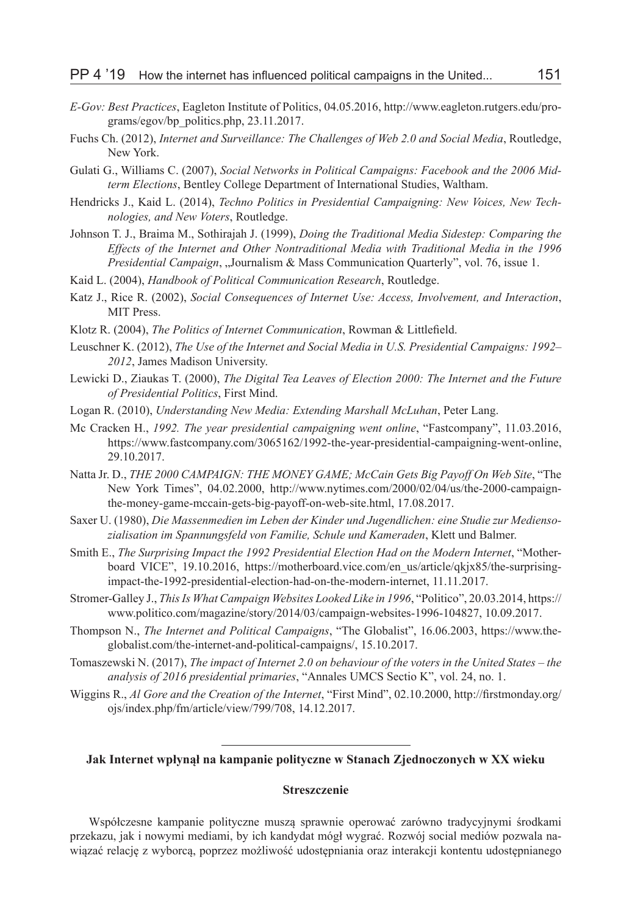- *E-Gov: Best Practices*, Eagleton Institute of Politics, 04.05.2016, http://www.eagleton.rutgers.edu/programs/egov/bp\_politics.php, 23.11.2017.
- Fuchs Ch. (2012), *Internet and Surveillance: The Challenges of Web 2.0 and Social Media*, Routledge, New York.
- Gulati G., Williams C. (2007), *Social Networks in Political Campaigns: Facebook and the 2006 Midterm Elections*, Bentley College Department of International Studies, Waltham.
- Hendricks J., Kaid L. (2014), *Techno Politics in Presidential Campaigning: New Voices, New Technologies, and New Voters*, Routledge.
- Johnson T. J., Braima M., Sothirajah J. (1999), *Doing the Traditional Media Sidestep: Comparing the Effects of the Internet and Other Nontraditional Media with Traditional Media in the 1996 Presidential Campaign*, "Journalism & Mass Communication Quarterly", vol. 76, issue 1.
- Kaid L. (2004), *Handbook of Political Communication Research*, Routledge.
- Katz J., Rice R. (2002), *Social Consequences of Internet Use: Access, Involvement, and Interaction*, MIT Press.
- Klotz R. (2004), *The Politics of Internet Communication*, Rowman & Littlefield.
- Leuschner K. (2012), *The Use of the Internet and Social Media in U.S. Presidential Campaigns: 1992– 2012*, James Madison University.
- Lewicki D., Ziaukas T. (2000), *The Digital Tea Leaves of Election 2000: The Internet and the Future of Presidential Politics*, First Mind.
- Logan R. (2010), *Understanding New Media: Extending Marshall McLuhan*, Peter Lang.
- Mc Cracken H., *1992. The year presidential campaigning went online*, "Fastcompany", 11.03.2016, https://www.fastcompany.com/3065162/1992-the-year-presidential-campaigning-went-online, 29.10.2017.
- Natta Jr. D., *THE 2000 CAMPAIGN: THE MONEY GAME; McCain Gets Big Payoff On Web Site*, "The New York Times", 04.02.2000, http://www.nytimes.com/2000/02/04/us/the-2000-campaignthe-money-game-mccain-gets-big-payoff-on-web-site.html, 17.08.2017.
- Saxer U. (1980), *Die Massenmedien im Leben der Kinder und Jugendlichen: eine Studie zur Mediensozialisation im Spannungsfeld von Familie, Schule und Kameraden*, Klett und Balmer.
- Smith E., *The Surprising Impact the 1992 Presidential Election Had on the Modern Internet*, "Motherboard VICE", 19.10.2016, https://motherboard.vice.com/en\_us/article/qkjx85/the-surprisingimpact-the-1992-presidential-election-had-on-the-modern-internet, 11.11.2017.
- Stromer-Galley J., *This Is What Campaign Websites Looked Like in 1996*, "Politico", 20.03.2014, https:// www.politico.com/magazine/story/2014/03/campaign-websites-1996-104827, 10.09.2017.
- Thompson N., *The Internet and Political Campaigns*, "The Globalist", 16.06.2003, https://www.theglobalist.com/the-internet-and-political-campaigns/, 15.10.2017.
- Tomaszewski N. (2017), *The impact of Internet 2.0 on behaviour of the voters in the United States the analysis of 2016 presidential primaries*, "Annales UMCS Sectio K", vol. 24, no. 1.
- Wiggins R., *Al Gore and the Creation of the Internet*, "First Mind", 02.10.2000, http://firstmonday.org/ ojs/index.php/fm/article/view/799/708, 14.12.2017.

#### **Jak Internet wpłynął na kampanie polityczne w Stanach Zjednoczonych w XX wieku**

### **Streszczenie**

Współczesne kampanie polityczne muszą sprawnie operować zarówno tradycyjnymi środkami przekazu, jak i nowymi mediami, by ich kandydat mógł wygrać. Rozwój social mediów pozwala nawiązać relację z wyborcą, poprzez możliwość udostępniania oraz interakcji kontentu udostępnianego